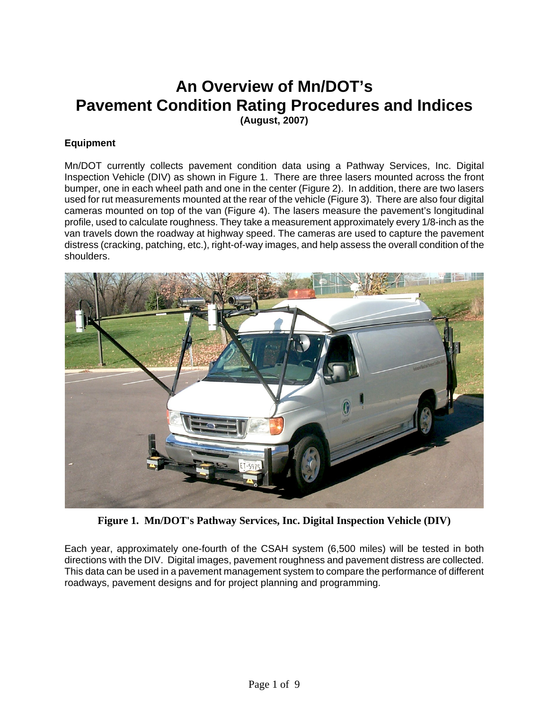# **An Overview of Mn/DOT's Pavement Condition Rating Procedures and Indices (August, 2007)**

## **Equipment**

Mn/DOT currently collects pavement condition data using a Pathway Services, Inc. Digital Inspection Vehicle (DIV) as shown in Figure 1. There are three lasers mounted across the front bumper, one in each wheel path and one in the center (Figure 2). In addition, there are two lasers used for rut measurements mounted at the rear of the vehicle (Figure 3). There are also four digital cameras mounted on top of the van (Figure 4). The lasers measure the pavement's longitudinal profile, used to calculate roughness. They take a measurement approximately every 1/8-inch as the van travels down the roadway at highway speed. The cameras are used to capture the pavement distress (cracking, patching, etc.), right-of-way images, and help assess the overall condition of the shoulders.



**Figure 1. Mn/DOT's Pathway Services, Inc. Digital Inspection Vehicle (DIV)**

Each year, approximately one-fourth of the CSAH system (6,500 miles) will be tested in both directions with the DIV. Digital images, pavement roughness and pavement distress are collected. This data can be used in a pavement management system to compare the performance of different roadways, pavement designs and for project planning and programming.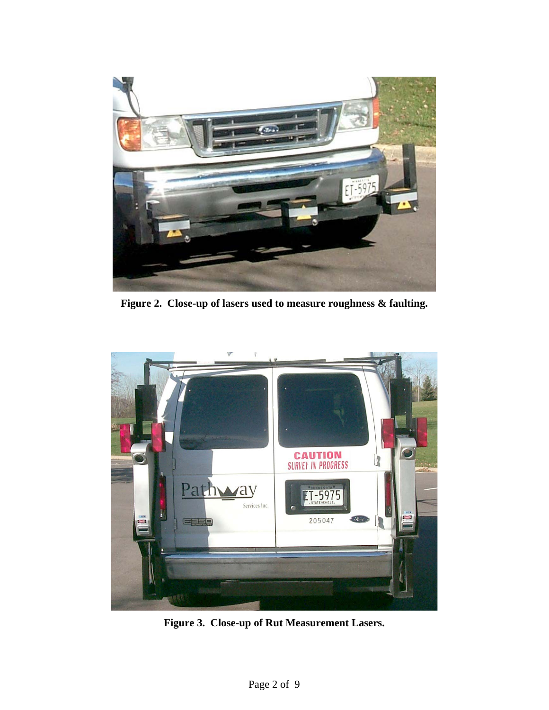

 **Figure 2. Close-up of lasers used to measure roughness & faulting.** 



**Figure 3. Close-up of Rut Measurement Lasers.**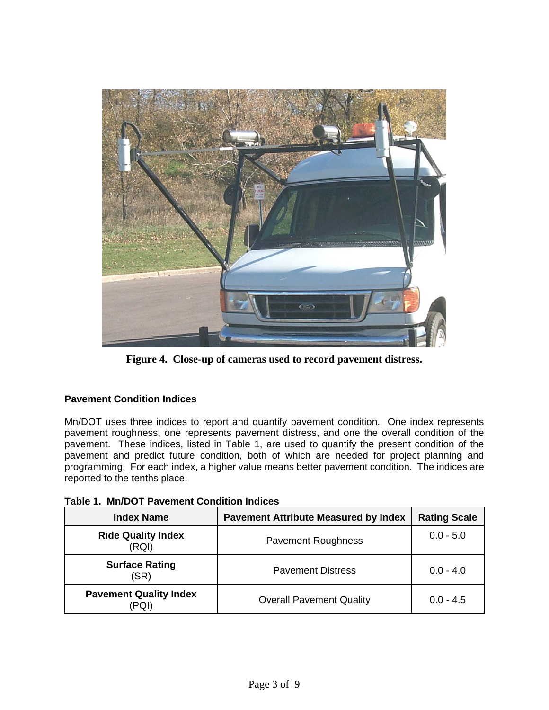

**Figure 4. Close-up of cameras used to record pavement distress.** 

# **Pavement Condition Indices**

Mn/DOT uses three indices to report and quantify pavement condition. One index represents pavement roughness, one represents pavement distress, and one the overall condition of the pavement. These indices, listed in Table 1, are used to quantify the present condition of the pavement and predict future condition, both of which are needed for project planning and programming. For each index, a higher value means better pavement condition. The indices are reported to the tenths place.

| <b>Index Name</b>                  | <b>Pavement Attribute Measured by Index</b> | <b>Rating Scale</b> |
|------------------------------------|---------------------------------------------|---------------------|
| <b>Ride Quality Index</b><br>(RQI) | <b>Pavement Roughness</b>                   | $0.0 - 5.0$         |
| <b>Surface Rating</b><br>(SR)      | <b>Pavement Distress</b>                    | $0.0 - 4.0$         |
| <b>Pavement Quality Index</b>      | <b>Overall Pavement Quality</b>             | $0.0 - 4.5$         |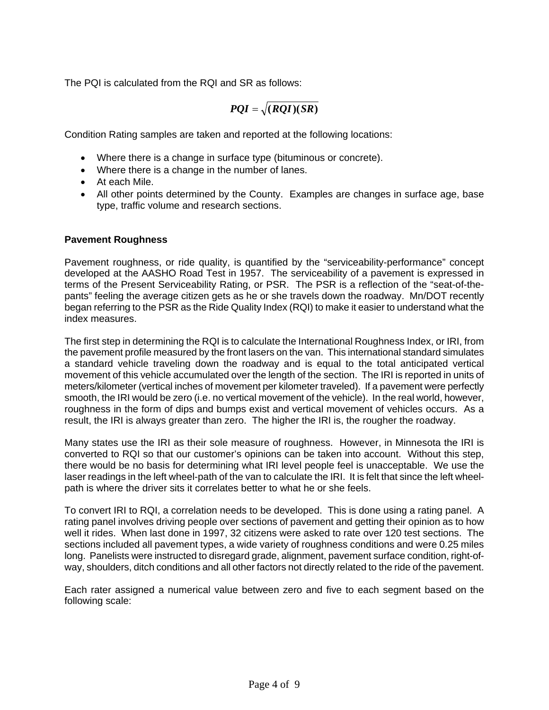The PQI is calculated from the RQI and SR as follows:

$$
PQI = \sqrt{(RQI)(SR)}
$$

Condition Rating samples are taken and reported at the following locations:

- Where there is a change in surface type (bituminous or concrete).
- Where there is a change in the number of lanes.
- At each Mile.
- All other points determined by the County. Examples are changes in surface age, base type, traffic volume and research sections.

#### **Pavement Roughness**

Pavement roughness, or ride quality, is quantified by the "serviceability-performance" concept developed at the AASHO Road Test in 1957. The serviceability of a pavement is expressed in terms of the Present Serviceability Rating, or PSR. The PSR is a reflection of the "seat-of-thepants" feeling the average citizen gets as he or she travels down the roadway. Mn/DOT recently began referring to the PSR as the Ride Quality Index (RQI) to make it easier to understand what the index measures.

The first step in determining the RQI is to calculate the International Roughness Index, or IRI, from the pavement profile measured by the front lasers on the van. This international standard simulates a standard vehicle traveling down the roadway and is equal to the total anticipated vertical movement of this vehicle accumulated over the length of the section. The IRI is reported in units of meters/kilometer (vertical inches of movement per kilometer traveled). If a pavement were perfectly smooth, the IRI would be zero (i.e. no vertical movement of the vehicle). In the real world, however, roughness in the form of dips and bumps exist and vertical movement of vehicles occurs. As a result, the IRI is always greater than zero. The higher the IRI is, the rougher the roadway.

Many states use the IRI as their sole measure of roughness. However, in Minnesota the IRI is converted to RQI so that our customer's opinions can be taken into account. Without this step, there would be no basis for determining what IRI level people feel is unacceptable. We use the laser readings in the left wheel-path of the van to calculate the IRI. It is felt that since the left wheelpath is where the driver sits it correlates better to what he or she feels.

To convert IRI to RQI, a correlation needs to be developed. This is done using a rating panel. A rating panel involves driving people over sections of pavement and getting their opinion as to how well it rides. When last done in 1997, 32 citizens were asked to rate over 120 test sections. The sections included all pavement types, a wide variety of roughness conditions and were 0.25 miles long. Panelists were instructed to disregard grade, alignment, pavement surface condition, right-ofway, shoulders, ditch conditions and all other factors not directly related to the ride of the pavement.

Each rater assigned a numerical value between zero and five to each segment based on the following scale: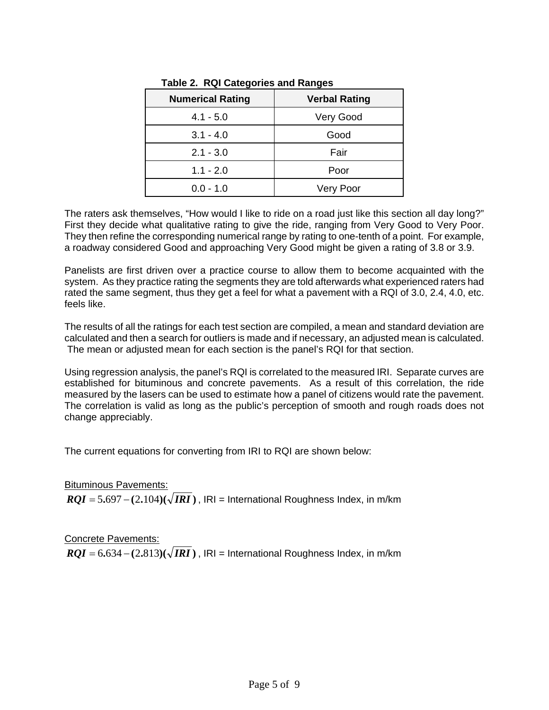| <b>Numerical Rating</b> | <b>Verbal Rating</b> |
|-------------------------|----------------------|
| $4.1 - 5.0$             | Very Good            |
| $3.1 - 4.0$             | Good                 |
| $2.1 - 3.0$             | Fair                 |
| $1.1 - 2.0$             | Poor                 |
| $0.0 - 1.0$             | Very Poor            |

**Table 2. RQI Categories and Ranges** 

The raters ask themselves, "How would I like to ride on a road just like this section all day long?" First they decide what qualitative rating to give the ride, ranging from Very Good to Very Poor. They then refine the corresponding numerical range by rating to one-tenth of a point. For example, a roadway considered Good and approaching Very Good might be given a rating of 3.8 or 3.9.

Panelists are first driven over a practice course to allow them to become acquainted with the system. As they practice rating the segments they are told afterwards what experienced raters had rated the same segment, thus they get a feel for what a pavement with a RQI of 3.0, 2.4, 4.0, etc. feels like.

The results of all the ratings for each test section are compiled, a mean and standard deviation are calculated and then a search for outliers is made and if necessary, an adjusted mean is calculated. The mean or adjusted mean for each section is the panel's RQI for that section.

Using regression analysis, the panel's RQI is correlated to the measured IRI. Separate curves are established for bituminous and concrete pavements. As a result of this correlation, the ride measured by the lasers can be used to estimate how a panel of citizens would rate the pavement. The correlation is valid as long as the public's perception of smooth and rough roads does not change appreciably.

The current equations for converting from IRI to RQI are shown below:

Bituminous Pavements:  $ROI = 5.697 - (2.104)(\sqrt{IRI})$ ,  $|R|$  = International Roughness Index, in m/km

Concrete Pavements:  $RQI = 6.634 - (2.813)(\sqrt{IRI})$ , IRI = International Roughness Index, in m/km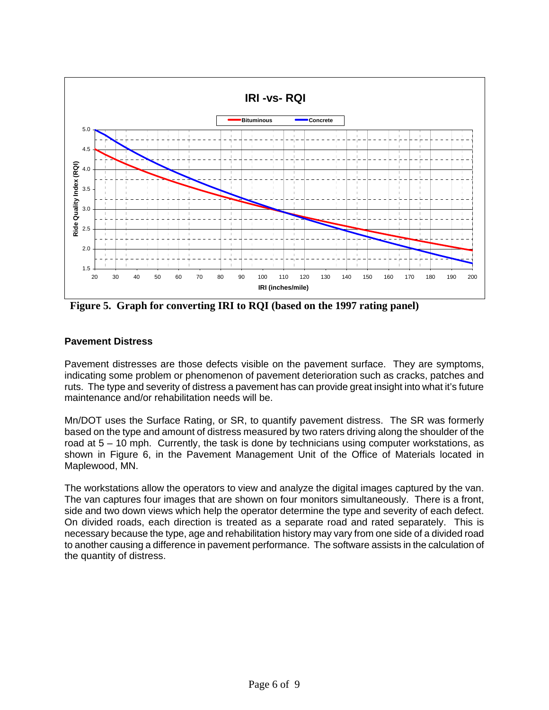

**Figure 5. Graph for converting IRI to RQI (based on the 1997 rating panel)**

### **Pavement Distress**

Pavement distresses are those defects visible on the pavement surface. They are symptoms, indicating some problem or phenomenon of pavement deterioration such as cracks, patches and ruts. The type and severity of distress a pavement has can provide great insight into what it's future maintenance and/or rehabilitation needs will be.

Mn/DOT uses the Surface Rating, or SR, to quantify pavement distress. The SR was formerly based on the type and amount of distress measured by two raters driving along the shoulder of the road at 5 – 10 mph. Currently, the task is done by technicians using computer workstations, as shown in Figure 6, in the Pavement Management Unit of the Office of Materials located in Maplewood, MN.

The workstations allow the operators to view and analyze the digital images captured by the van. The van captures four images that are shown on four monitors simultaneously. There is a front, side and two down views which help the operator determine the type and severity of each defect. On divided roads, each direction is treated as a separate road and rated separately. This is necessary because the type, age and rehabilitation history may vary from one side of a divided road to another causing a difference in pavement performance. The software assists in the calculation of the quantity of distress.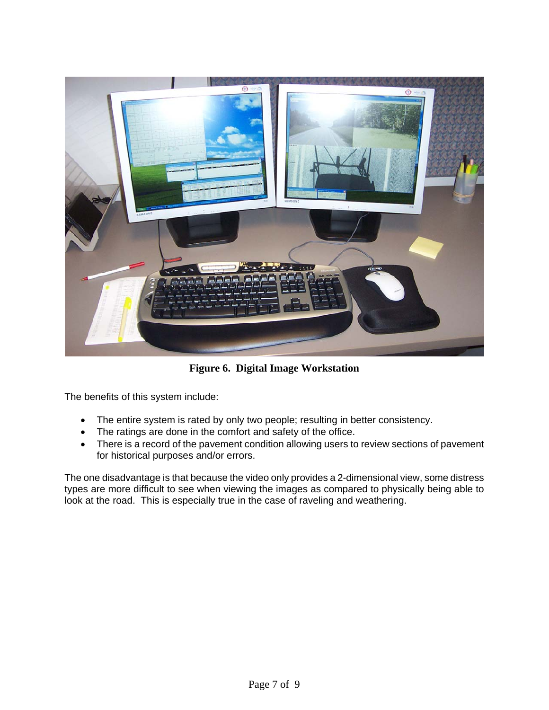

**Figure 6. Digital Image Workstation** 

The benefits of this system include:

- The entire system is rated by only two people; resulting in better consistency.
- The ratings are done in the comfort and safety of the office.
- There is a record of the pavement condition allowing users to review sections of pavement for historical purposes and/or errors.

The one disadvantage is that because the video only provides a 2-dimensional view, some distress types are more difficult to see when viewing the images as compared to physically being able to look at the road. This is especially true in the case of raveling and weathering.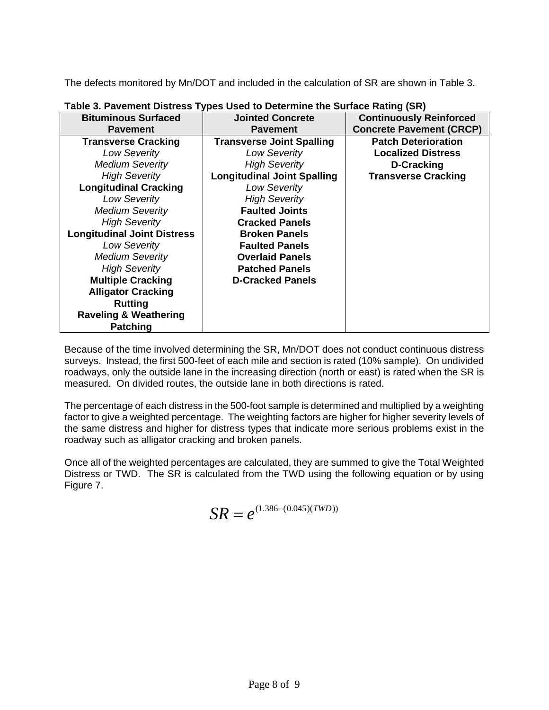The defects monitored by Mn/DOT and included in the calculation of SR are shown in Table 3.

| <b>Bituminous Surfaced</b>         | <b>Jointed Concrete</b>            | <b>Continuously Reinforced</b>  |
|------------------------------------|------------------------------------|---------------------------------|
| <b>Pavement</b>                    | <b>Pavement</b>                    | <b>Concrete Pavement (CRCP)</b> |
| <b>Transverse Cracking</b>         | <b>Transverse Joint Spalling</b>   | <b>Patch Deterioration</b>      |
| <b>Low Severity</b>                | <b>Low Severity</b>                | <b>Localized Distress</b>       |
| <b>Medium Severity</b>             | <b>High Severity</b>               | D-Cracking                      |
| <b>High Severity</b>               | <b>Longitudinal Joint Spalling</b> | <b>Transverse Cracking</b>      |
| <b>Longitudinal Cracking</b>       | <b>Low Severity</b>                |                                 |
| <b>Low Severity</b>                | <b>High Severity</b>               |                                 |
| <b>Medium Severity</b>             | <b>Faulted Joints</b>              |                                 |
| <b>High Severity</b>               | <b>Cracked Panels</b>              |                                 |
| <b>Longitudinal Joint Distress</b> | <b>Broken Panels</b>               |                                 |
| <b>Low Severity</b>                | <b>Faulted Panels</b>              |                                 |
| <b>Medium Severity</b>             | <b>Overlaid Panels</b>             |                                 |
| <b>High Severity</b>               | <b>Patched Panels</b>              |                                 |
| <b>Multiple Cracking</b>           | <b>D-Cracked Panels</b>            |                                 |
| <b>Alligator Cracking</b>          |                                    |                                 |
| <b>Rutting</b>                     |                                    |                                 |
| <b>Raveling &amp; Weathering</b>   |                                    |                                 |
| <b>Patching</b>                    |                                    |                                 |

**Table 3. Pavement Distress Types Used to Determine the Surface Rating (SR)**

Because of the time involved determining the SR, Mn/DOT does not conduct continuous distress surveys. Instead, the first 500-feet of each mile and section is rated (10% sample). On undivided roadways, only the outside lane in the increasing direction (north or east) is rated when the SR is measured. On divided routes, the outside lane in both directions is rated.

The percentage of each distress in the 500-foot sample is determined and multiplied by a weighting factor to give a weighted percentage. The weighting factors are higher for higher severity levels of the same distress and higher for distress types that indicate more serious problems exist in the roadway such as alligator cracking and broken panels.

Once all of the weighted percentages are calculated, they are summed to give the Total Weighted Distress or TWD. The SR is calculated from the TWD using the following equation or by using Figure 7.

$$
SR = e^{(1.386 - (0.045)(TWD))}
$$